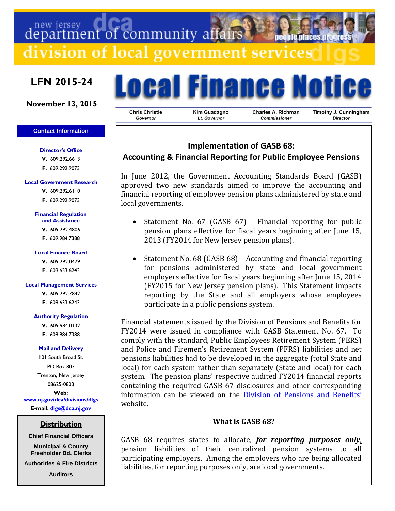# department of community affairs

division of local government services

# **LFN 2015-24**

#### **November 13, 2015**

#### **Contact Information**

#### **Director's Office**

**V.** 609.292.6613 **F.** 609.292.9073

#### **Local Government Research**

**V.** 609.292.6110

**F.** 609.292.9073

#### **Financial Regulation**

- **and Assistance**
- **V.** 609.292.4806
- **F.** 609.984.7388

#### **Local Finance Board**

- **V.** 609.292.0479
- **F.** 609.633.6243

#### **Local Management Services**

- **V.** 609.292.7842
- **F.** 609.633.6243

#### **Authority Regulation**

- **V.** 609.984.0132
- **F.** 609.984.7388

#### **Mail and Delivery**

101 South Broad St. PO Box 803 Trenton, New Jersey 08625-0803

**Web: [www.nj.gov/dca/divisions/dlgs](http://www.nj.gov/dca/divisions/dlgs) E-mail: [dlgs@dca.nj.gov](mailto:dlgs@dca.nj.gov)**

## **Distribution**

**Chief Financial Officers**

**Municipal & County Freeholder Bd. Clerks**

**Authorities & Fire Districts**

**Auditors**

# Local Finance Notic

**Chris Christie** Governor

**Kim Guadagno** Lt. Governor

**Charles A. Richman** Commissioner

Timothy J. Cunningham **Director** 

# **Implementation of GASB 68:**

# **Accounting & Financial Reporting for Public Employee Pensions**

In June 2012, the Government Accounting Standards Board (GASB) approved two new standards aimed to improve the accounting and financial reporting of employee pension plans administered by state and local governments.

- Statement No. 67 (GASB 67) Financial reporting for public pension plans effective for fiscal years beginning after June 15, 2013 (FY2014 for New Jersey pension plans).
- Statement No. 68 (GASB 68) Accounting and financial reporting for pensions administered by state and local government employers effective for fiscal years beginning after June 15, 2014 (FY2015 for New Jersey pension plans). This Statement impacts reporting by the State and all employers whose employees participate in a public pensions system.

Financial statements issued by the Division of Pensions and Benefits for FY2014 were issued in compliance with GASB Statement No. 67. To comply with the standard, Public Employees Retirement System (PERS) and Police and Firemen's Retirement System (PFRS) liabilities and net pensions liabilities had to be developed in the aggregate (total State and local) for each system rather than separately (State and local) for each system. The pension plans' respective audited FY2014 financial reports containing the required GASB 67 disclosures and other corresponding information can be viewed on the [Division of Pensions and Ben](http://www.state.nj.us/treasury/pensions/gasb-67-notice.shtml)efits' website.

## **What is GASB 68?**

GASB 68 requires states to allocate, *for reporting purposes only*, pension liabilities of their centralized pension systems to all participating employers. Among the employers who are being allocated liabilities, for reporting purposes only, are local governments.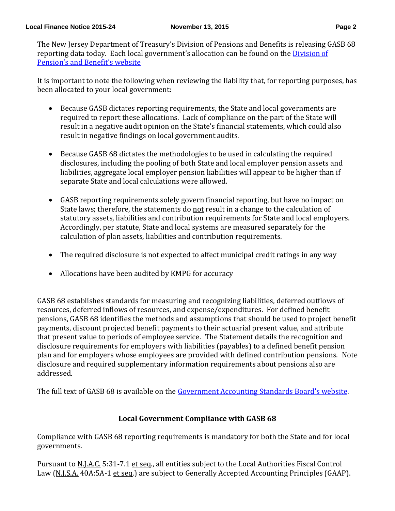The New Jersey Department of Treasury's Division of Pensions and Benefits is releasing GASB 68 reporting data today. Each local government's allocation can be found on the *Division of* [Pension's and Benefit's website](http://www.nj.gov/treasury/pensions/gasb-68-notice.shtml)

It is important to note the following when reviewing the liability that, for reporting purposes, has been allocated to your local government:

- Because GASB dictates reporting requirements, the State and local governments are required to report these allocations. Lack of compliance on the part of the State will result in a negative audit opinion on the State's financial statements, which could also result in negative findings on local government audits.
- Because GASB 68 dictates the methodologies to be used in calculating the required disclosures, including the pooling of both State and local employer pension assets and liabilities, aggregate local employer pension liabilities will appear to be higher than if separate State and local calculations were allowed.
- GASB reporting requirements solely govern financial reporting, but have no impact on State laws; therefore, the statements do not result in a change to the calculation of statutory assets, liabilities and contribution requirements for State and local employers. Accordingly, per statute, State and local systems are measured separately for the calculation of plan assets, liabilities and contribution requirements.
- The required disclosure is not expected to affect municipal credit ratings in any way
- Allocations have been audited by KMPG for accuracy

GASB 68 establishes standards for measuring and recognizing liabilities, deferred outflows of resources, deferred inflows of resources, and expense/expenditures. For defined benefit pensions, GASB 68 identifies the methods and assumptions that should be used to project benefit payments, discount projected benefit payments to their actuarial present value, and attribute that present value to periods of employee service. The Statement details the recognition and disclosure requirements for employers with liabilities (payables) to a defined benefit pension plan and for employers whose employees are provided with defined contribution pensions. Note disclosure and required supplementary information requirements about pensions also are addressed.

The full text of GASB 68 is available on the [Government Accounting Sta](http://www.gasb.org/resources/ccurl/988/315/GASBS%2068.pdf)ndards Board's website.

# **Local Government Compliance with GASB 68**

Compliance with GASB 68 reporting requirements is mandatory for both the State and for local governments.

Pursuant to N.J.A.C. 5:31-7.1 et seq., all entities subject to the Local Authorities Fiscal Control Law (N.J.S.A. 40A:5A-1 et seq.) are subject to Generally Accepted Accounting Principles (GAAP).